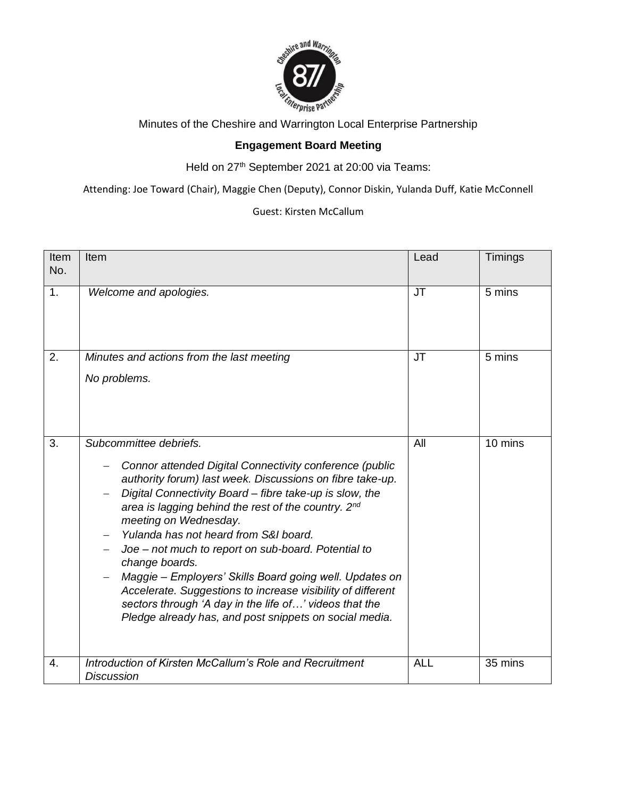

Minutes of the Cheshire and Warrington Local Enterprise Partnership

## **Engagement Board Meeting**

Held on 27<sup>th</sup> September 2021 at 20:00 via Teams:

Attending: Joe Toward (Chair), Maggie Chen (Deputy), Connor Diskin, Yulanda Duff, Katie McConnell

Guest: Kirsten McCallum

| Item<br>No. | Item                                                                                                                                                                                                                                                                                                                                                                                                                                                                                                                                                                                                                                                      | Lead       | Timings |
|-------------|-----------------------------------------------------------------------------------------------------------------------------------------------------------------------------------------------------------------------------------------------------------------------------------------------------------------------------------------------------------------------------------------------------------------------------------------------------------------------------------------------------------------------------------------------------------------------------------------------------------------------------------------------------------|------------|---------|
| 1.          | Welcome and apologies.                                                                                                                                                                                                                                                                                                                                                                                                                                                                                                                                                                                                                                    | <b>JT</b>  | 5 mins  |
| 2.          | Minutes and actions from the last meeting<br>No problems.                                                                                                                                                                                                                                                                                                                                                                                                                                                                                                                                                                                                 | <b>JT</b>  | 5 mins  |
| 3.          | Subcommittee debriefs.<br>Connor attended Digital Connectivity conference (public<br>authority forum) last week. Discussions on fibre take-up.<br>Digital Connectivity Board - fibre take-up is slow, the<br>area is lagging behind the rest of the country. 2nd<br>meeting on Wednesday.<br>Yulanda has not heard from S&I board.<br>Joe - not much to report on sub-board. Potential to<br>change boards.<br>Maggie - Employers' Skills Board going well. Updates on<br>Accelerate. Suggestions to increase visibility of different<br>sectors through 'A day in the life of' videos that the<br>Pledge already has, and post snippets on social media. | All        | 10 mins |
| 4.          | Introduction of Kirsten McCallum's Role and Recruitment<br><b>Discussion</b>                                                                                                                                                                                                                                                                                                                                                                                                                                                                                                                                                                              | <b>ALL</b> | 35 mins |